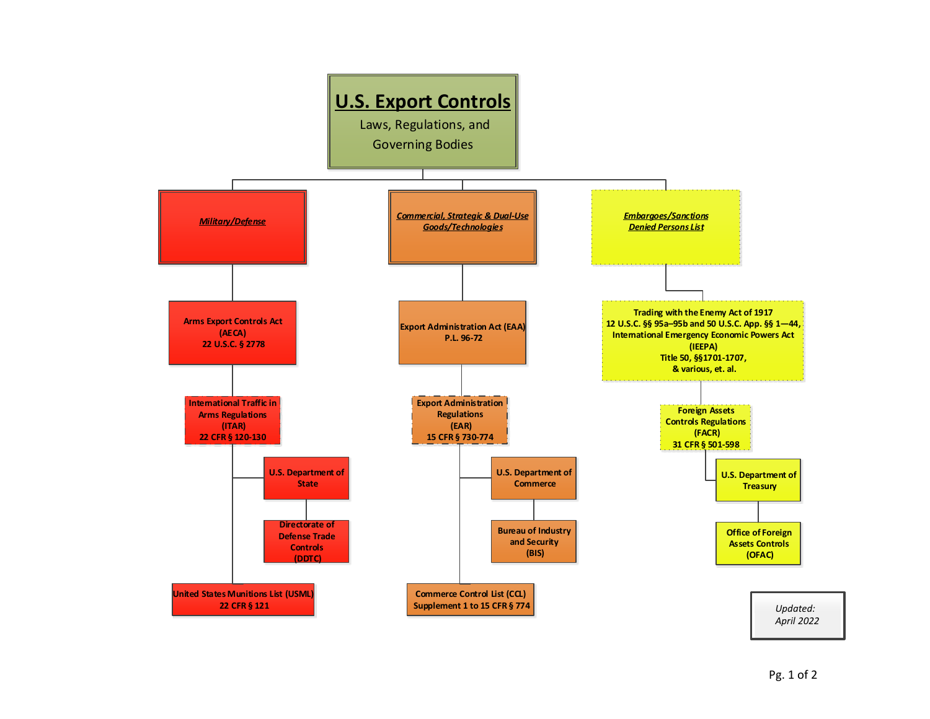